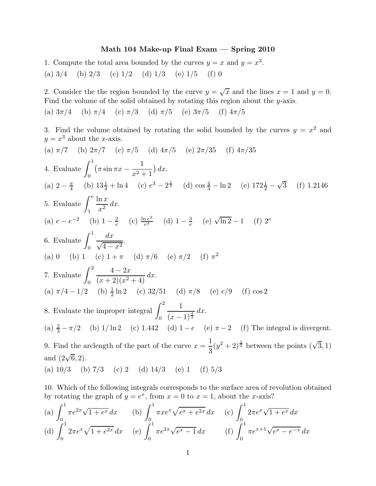## Math 104 Make-up Final Exam — Spring 2010

1. Compute the total area bounded by the curves  $y = x$  and  $y = x<sup>3</sup>$ .

(a)  $3/4$  (b)  $2/3$  (c)  $1/2$  (d)  $1/3$  (e)  $1/5$  (f) 0

2. Consider the the region bounded by the curve  $y = \sqrt{x}$  and the lines  $x = 1$  and  $y = 0$ . Find the volume of the solid obtained by rotating this region about the y-axis.

(a)  $3\pi/4$  (b)  $\pi/4$  (c)  $\pi/3$  (d)  $\pi/5$  (e)  $3\pi/5$  (f)  $4\pi/5$ 

3. Find the volume obtained by rotating the solid bounded by the curves  $y = x^2$  and  $y = x^3$  about the *x*-axis.

(a) 
$$
\pi/7
$$
 (b)  $2\pi/7$  (c)  $\pi/5$  (d)  $4\pi/5$  (e)  $2\pi/35$  (f)  $4\pi/35$   
\n4. Evaluate  $\int_0^1 (\pi \sin \pi x - \frac{1}{x^2 + 1}) dx$ .  
\n(a)  $2 - \frac{\pi}{4}$  (b)  $13\frac{1}{4} + \ln 4$  (c)  $e^3 - 2^{\frac{1}{4}}$  (d)  $\cos \frac{4}{3} - \ln 2$  (e)  $172\frac{1}{2} - \sqrt{3}$  (f) 1.2146  
\n5. Evaluate  $\int_1^e \frac{\ln x}{x^2} dx$ .  
\n(a)  $e - e^{-2}$  (b)  $1 - \frac{2}{e}$  (c)  $\frac{\ln e^2}{e^4}$  (d)  $1 - \frac{3}{e}$  (e)  $\sqrt{\ln 2} - 1$  (f)  $2^e$   
\n6. Evaluate  $\int_0^1 \frac{dx}{\sqrt{4 - x^2}}$ .  
\n(a) 0 (b) 1 (c)  $1 + \pi$  (d)  $\pi/6$  (e)  $\pi/2$  (f)  $\pi^2$   
\n7. Evaluate  $\int_0^2 \frac{4 - 2x}{(x + 2)(x^2 + 4)} dx$ .  
\n(a)  $\pi/4 - 1/2$  (b)  $\frac{1}{2} \ln 2$  (c)  $32/51$  (d)  $\pi/8$  (e)  $e/9$  (f)  $\cos 2$   
\n8. Evaluate the improper integral  $\int_0^2 \frac{1}{(x - 1)^{\frac{4}{3}}} dx$ .  
\n(a)  $\frac{2}{3} - \pi/2$  (b)  $1/\ln 2$  (c)  $1.442$  (d)  $1 - e$  (e)  $\pi - 2$  (f) The integral is divergent.  
\n9. Find the arclength of the part of the curve  $x = \frac{1}{3}(y^2 + 2)^{\frac{3}{2}}$  between the points  $(\sqrt{3},$ 

10. Which of the following integrals corresponds to the surface area of revolution obtained by rotating the graph of  $y = e^x$ , from  $x = 0$  to  $x = 1$ , about the *x*-axis?

(a) 
$$
\int_0^1 \pi e^{2x} \sqrt{1+e^x} dx
$$
 (b)  $\int_0^1 \pi x e^x \sqrt{e^x + e^{2x}} dx$  (c)  $\int_0^1 2\pi e^x \sqrt{1+e^x} dx$   
(d)  $\int_0^1 2\pi e^x \sqrt{1+e^{2x}} dx$  (e)  $\int_0^1 \pi e^{2x} \sqrt{e^x - 1} dx$  (f)  $\int_0^1 \pi e^{x+1} \sqrt{e^x - e^{-x}} dx$